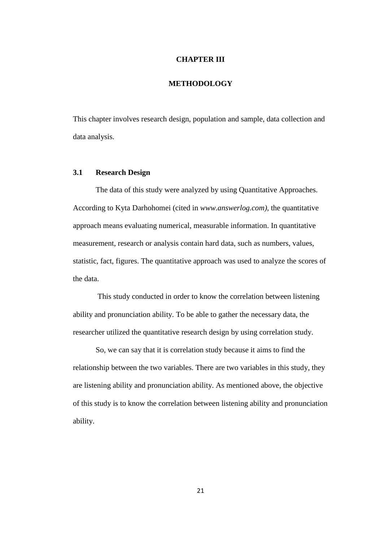### **CHAPTER III**

## **METHODOLOGY**

This chapter involves research design, population and sample, data collection and data analysis.

### **3.1 Research Design**

The data of this study were analyzed by using Quantitative Approaches. According to Kyta Darhohomei (cited in *www.answerlog.com)*, the quantitative approach means evaluating numerical, measurable information. In quantitative measurement, research or analysis contain hard data, such as numbers, values, statistic, fact, figures. The quantitative approach was used to analyze the scores of the data.

This study conducted in order to know the correlation between listening ability and pronunciation ability. To be able to gather the necessary data, the researcher utilized the quantitative research design by using correlation study.

So, we can say that it is correlation study because it aims to find the relationship between the two variables. There are two variables in this study, they are listening ability and pronunciation ability. As mentioned above, the objective of this study is to know the correlation between listening ability and pronunciation ability.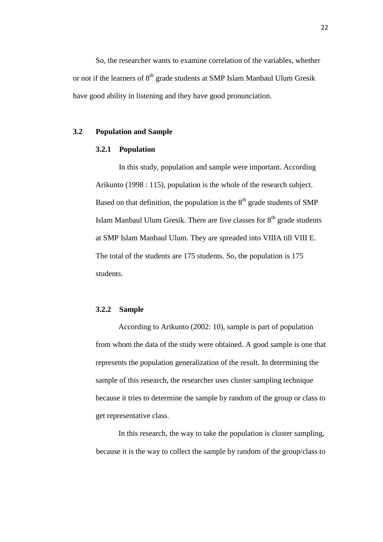So, the researcher wants to examine correlation of the variables, whether or not if the learners of  $8<sup>th</sup>$  grade students at SMP Islam Manbaul Ulum Gresik have good ability in listening and they have good pronunciation.

### **3.2 Population and Sample**

### **3.2.1 Population**

In this study, population and sample were important. According Arikunto (1998 : 115), population is the whole of the research subject. Based on that definition, the population is the  $8<sup>th</sup>$  grade students of SMP Islam Manbaul Ulum Gresik. There are five classes for  $8<sup>th</sup>$  grade students at SMP Islam Manbaul Ulum. They are spreaded into VIIIA till VIII E. The total of the students are 175 students. So, the population is 175 students.

### **3.2.2 Sample**

According to Arikunto (2002: 10), sample is part of population from whom the data of the study were obtained. A good sample is one that represents the population generalization of the result. In determining the sample of this research, the researcher uses cluster sampling technique because it tries to determine the sample by random of the group or class to get representative class.

In this research, the way to take the population is cluster sampling, because it is the way to collect the sample by random of the group/class to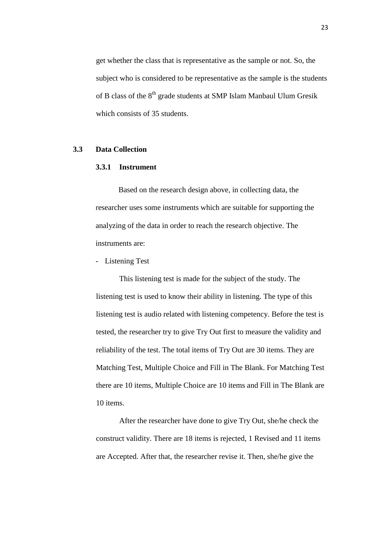get whether the class that is representative as the sample or not. So, the subject who is considered to be representative as the sample is the students of B class of the 8<sup>th</sup> grade students at SMP Islam Manbaul Ulum Gresik which consists of 35 students.

### **3.3 Data Collection**

### **3.3.1 Instrument**

Based on the research design above, in collecting data, the researcher uses some instruments which are suitable for supporting the analyzing of the data in order to reach the research objective. The instruments are:

- Listening Test

This listening test is made for the subject of the study. The listening test is used to know their ability in listening. The type of this listening test is audio related with listening competency. Before the test is tested, the researcher try to give Try Out first to measure the validity and reliability of the test. The total items of Try Out are 30 items. They are Matching Test, Multiple Choice and Fill in The Blank. For Matching Test there are 10 items, Multiple Choice are 10 items and Fill in The Blank are 10 items.

After the researcher have done to give Try Out, she/he check the construct validity. There are 18 items is rejected, 1 Revised and 11 items are Accepted. After that, the researcher revise it. Then, she/he give the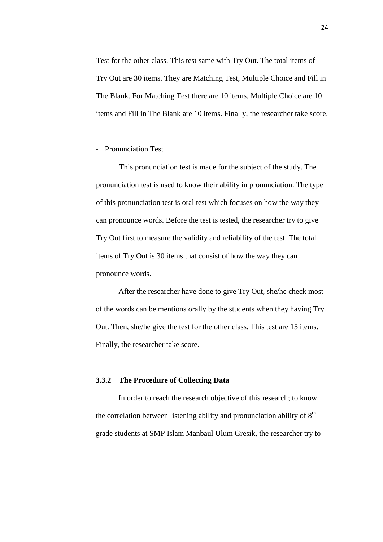Test for the other class. This test same with Try Out. The total items of Try Out are 30 items. They are Matching Test, Multiple Choice and Fill in The Blank. For Matching Test there are 10 items, Multiple Choice are 10 items and Fill in The Blank are 10 items. Finally, the researcher take score.

- Pronunciation Test

This pronunciation test is made for the subject of the study. The pronunciation test is used to know their ability in pronunciation. The type of this pronunciation test is oral test which focuses on how the way they can pronounce words. Before the test is tested, the researcher try to give Try Out first to measure the validity and reliability of the test. The total items of Try Out is 30 items that consist of how the way they can pronounce words.

After the researcher have done to give Try Out, she/he check most of the words can be mentions orally by the students when they having Try Out. Then, she/he give the test for the other class. This test are 15 items. Finally, the researcher take score.

#### **3.3.2 The Procedure of Collecting Data**

In order to reach the research objective of this research; to know the correlation between listening ability and pronunciation ability of  $8<sup>th</sup>$ grade students at SMP Islam Manbaul Ulum Gresik, the researcher try to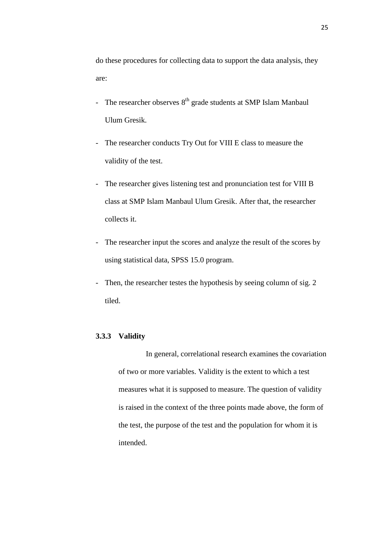do these procedures for collecting data to support the data analysis, they are:

- The researcher observes  $8<sup>th</sup>$  grade students at SMP Islam Manbaul Ulum Gresik.
- The researcher conducts Try Out for VIII E class to measure the validity of the test.
- The researcher gives listening test and pronunciation test for VIII B class at SMP Islam Manbaul Ulum Gresik. After that, the researcher collects it.
- The researcher input the scores and analyze the result of the scores by using statistical data, SPSS 15.0 program.
- Then, the researcher testes the hypothesis by seeing column of sig. 2 tiled.

# **3.3.3 Validity**

In general, correlational research examines the covariation of two or more variables. Validity is the extent to which a test measures what it is supposed to measure. The question of validity is raised in the context of the three points made above, the form of the test, the purpose of the test and the population for whom it is intended.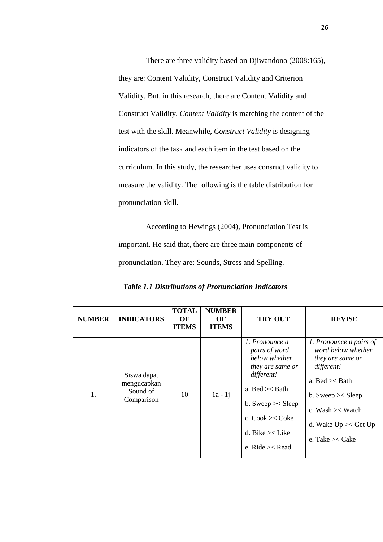There are three validity based on Djiwandono (2008:165), they are: Content Validity, Construct Validity and Criterion Validity. But, in this research, there are Content Validity and Construct Validity. *Content Validity* is matching the content of the test with the skill. Meanwhile, *Construct Validity* is designing indicators of the task and each item in the test based on the curriculum. In this study, the researcher uses consruct validity to measure the validity. The following is the table distribution for pronunciation skill.

According to Hewings (2004), Pronunciation Test is important. He said that, there are three main components of pronunciation. They are: Sounds, Stress and Spelling.

| <b>NUMBER</b> | <b>INDICATORS</b>                                    | <b>TOTAL</b><br>OF<br><b>ITEMS</b> | <b>NUMBER</b><br>OF<br><b>ITEMS</b> | <b>TRY OUT</b>                                                                                                                                                                                      | <b>REVISE</b>                                                                                                                                                                                                   |
|---------------|------------------------------------------------------|------------------------------------|-------------------------------------|-----------------------------------------------------------------------------------------------------------------------------------------------------------------------------------------------------|-----------------------------------------------------------------------------------------------------------------------------------------------------------------------------------------------------------------|
| 1.            | Siswa dapat<br>mengucapkan<br>Sound of<br>Comparison | 10                                 | $1a - 1j$                           | 1. Pronounce a<br>pairs of word<br>below whether<br>they are same or<br>different!<br>a. Bed $\ge$ Bath<br>b. Sweep $\ge$ Sleep<br>c. $Cook \geq Coke$<br>d. Bike $\ge$ Like<br>e. Ride $\geq$ Read | 1. Pronounce a pairs of<br>word below whether<br><i>they are same or</i><br>different!<br>a. Bed $\ge$ Bath<br>b. Sweep $\ge$ Sleep<br>c. Wash $\ge$ Watch<br>d. Wake $Up \times Get Up$<br>e. Take $\geq$ Cake |

 *Table 1.1 Distributions of Pronunciation Indicators*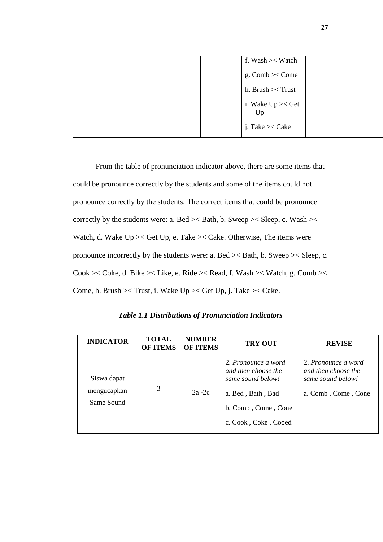|  |  | f. Wash $\mathbf{1}$ Watch    |  |
|--|--|-------------------------------|--|
|  |  | g. Comb $\ge$ Come            |  |
|  |  | h. Brush $\ge$ Trust          |  |
|  |  | i. Wake $Up \times Get$<br>Up |  |
|  |  | j. Take $\geq$ Cake           |  |

From the table of pronunciation indicator above, there are some items that could be pronounce correctly by the students and some of the items could not pronounce correctly by the students. The correct items that could be pronounce correctly by the students were: a. Bed >< Bath, b. Sweep >< Sleep, c. Wash >< Watch, d. Wake Up >< Get Up, e. Take >< Cake. Otherwise, The items were pronounce incorrectly by the students were: a. Bed >< Bath, b. Sweep >< Sleep, c. Cook >< Coke, d. Bike >< Like, e. Ride >< Read, f. Wash >< Watch, g. Comb >< Come, h. Brush >< Trust, i. Wake Up >< Get Up, j. Take >< Cake.

*Table 1.1 Distributions of Pronunciation Indicators*

| <b>INDICATOR</b>                         | <b>TOTAL</b><br><b>OF ITEMS</b> | <b>NUMBER</b><br><b>OF ITEMS</b> | <b>TRY OUT</b>                                                                                                                      | <b>REVISE</b>                                                                          |
|------------------------------------------|---------------------------------|----------------------------------|-------------------------------------------------------------------------------------------------------------------------------------|----------------------------------------------------------------------------------------|
| Siswa dapat<br>mengucapkan<br>Same Sound | 3                               | $2a-2c$                          | 2. Pronounce a word<br>and then choose the<br>same sound below!<br>a. Bed, Bath, Bad<br>b. Comb, Come, Cone<br>c. Cook, Coke, Cooed | 2. Pronounce a word<br>and then choose the<br>same sound below!<br>a. Comb, Come, Cone |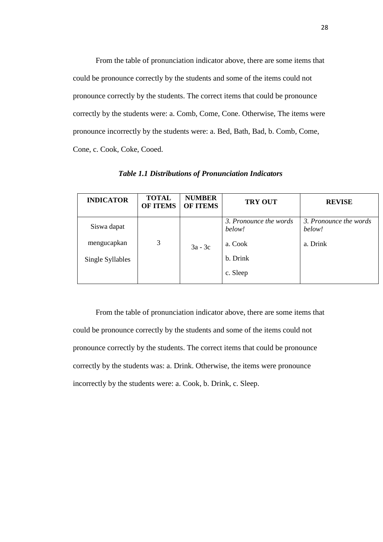From the table of pronunciation indicator above, there are some items that could be pronounce correctly by the students and some of the items could not pronounce correctly by the students. The correct items that could be pronounce correctly by the students were: a. Comb, Come, Cone. Otherwise, The items were pronounce incorrectly by the students were: a. Bed, Bath, Bad, b. Comb, Come, Cone, c. Cook, Coke, Cooed.

| <b>INDICATOR</b> | <b>TOTAL</b><br><b>OF ITEMS</b> | <b>NUMBER</b><br><b>OF ITEMS</b> | <b>TRY OUT</b>                   | <b>REVISE</b>                    |
|------------------|---------------------------------|----------------------------------|----------------------------------|----------------------------------|
| Siswa dapat      |                                 |                                  | 3. Pronounce the words<br>below! | 3. Pronounce the words<br>below! |
| mengucapkan      | 3                               | $3a - 3c$                        | a. Cook                          | a. Drink                         |
| Single Syllables |                                 |                                  | b. Drink                         |                                  |
|                  |                                 |                                  | c. Sleep                         |                                  |

*Table 1.1 Distributions of Pronunciation Indicators*

From the table of pronunciation indicator above, there are some items that could be pronounce correctly by the students and some of the items could not pronounce correctly by the students. The correct items that could be pronounce correctly by the students was: a. Drink. Otherwise, the items were pronounce incorrectly by the students were: a. Cook, b. Drink, c. Sleep.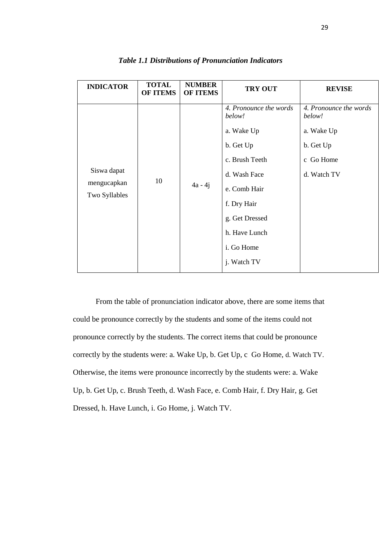| <b>INDICATOR</b>                            | <b>TOTAL</b><br><b>OF ITEMS</b> | <b>NUMBER</b><br><b>OF ITEMS</b> | <b>TRY OUT</b>                                                                                                                                                                | <b>REVISE</b>                                                                           |
|---------------------------------------------|---------------------------------|----------------------------------|-------------------------------------------------------------------------------------------------------------------------------------------------------------------------------|-----------------------------------------------------------------------------------------|
| Siswa dapat<br>mengucapkan<br>Two Syllables | 10                              | $4a - 4j$                        | 4. Pronounce the words<br>below!<br>a. Wake Up<br>b. Get Up<br>c. Brush Teeth<br>d. Wash Face<br>e. Comb Hair<br>f. Dry Hair<br>g. Get Dressed<br>h. Have Lunch<br>i. Go Home | 4. Pronounce the words<br>below!<br>a. Wake Up<br>b. Get Up<br>c Go Home<br>d. Watch TV |
|                                             |                                 |                                  | j. Watch TV                                                                                                                                                                   |                                                                                         |

# *Table 1.1 Distributions of Pronunciation Indicators*

From the table of pronunciation indicator above, there are some items that could be pronounce correctly by the students and some of the items could not pronounce correctly by the students. The correct items that could be pronounce correctly by the students were: a. Wake Up, b. Get Up, c Go Home, d. Watch TV. Otherwise, the items were pronounce incorrectly by the students were: a. Wake Up, b. Get Up, c. Brush Teeth, d. Wash Face, e. Comb Hair, f. Dry Hair, g. Get Dressed, h. Have Lunch, i. Go Home, j. Watch TV.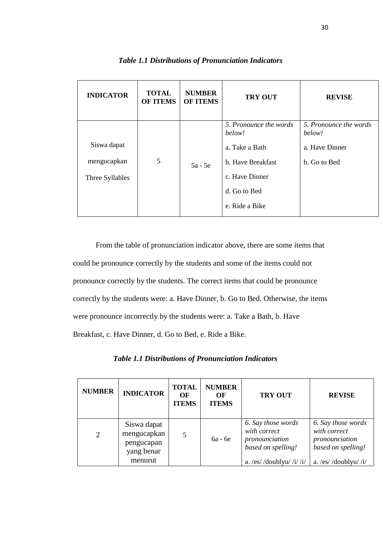| <b>INDICATOR</b>                              | <b>TOTAL</b><br><b>OF ITEMS</b> | <b>NUMBER</b><br><b>OF ITEMS</b> | <b>TRY OUT</b>                                                                                                              | <b>REVISE</b>                                                      |
|-----------------------------------------------|---------------------------------|----------------------------------|-----------------------------------------------------------------------------------------------------------------------------|--------------------------------------------------------------------|
| Siswa dapat<br>mengucapkan<br>Three Syllables | 5                               | 5a - 5e                          | 5. Pronounce the words<br>below!<br>a. Take a Bath<br>b. Have Breakfast<br>c. Have Dinner<br>d. Go to Bed<br>e. Ride a Bike | 5. Pronounce the words<br>below!<br>a. Have Dinner<br>b. Go to Bed |

# *Table 1.1 Distributions of Pronunciation Indicators*

From the table of pronunciation indicator above, there are some items that could be pronounce correctly by the students and some of the items could not pronounce correctly by the students. The correct items that could be pronounce correctly by the students were: a. Have Dinner, b. Go to Bed. Otherwise, the items were pronounce incorrectly by the students were: a. Take a Bath, b. Have Breakfast, c. Have Dinner, d. Go to Bed, e. Ride a Bike.

*Table 1.1 Distributions of Pronunciation Indicators*

| <b>NUMBER</b> | <b>INDICATOR</b>                                       | <b>TOTAL</b><br>OF<br><b>ITEMS</b> | <b>NUMBER</b><br>OF<br><b>ITEMS</b> | <b>TRY OUT</b>                                                             | <b>REVISE</b>                                                              |
|---------------|--------------------------------------------------------|------------------------------------|-------------------------------------|----------------------------------------------------------------------------|----------------------------------------------------------------------------|
| 2             | Siswa dapat<br>mengucapkan<br>pengucapan<br>yang benar |                                    | 6a - 6e                             | 6. Say those words<br>with correct<br>pronounciation<br>based on spelling! | 6. Say those words<br>with correct<br>pronounciation<br>based on spelling! |
|               | menurut                                                |                                    |                                     | a. /es//doublyu// $i$ / $i$ // $i$ /                                       | a. /es//doublyu// $i$ /                                                    |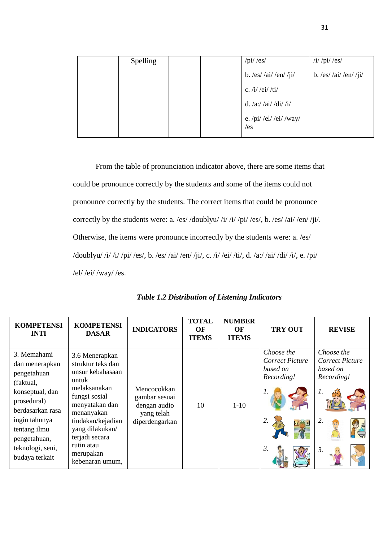| <b>Spelling</b> |  | $\pi$ i/ $\left \cos\right $ | / $i$ / $pi$ / $es$ / |
|-----------------|--|------------------------------|-----------------------|
|                 |  | b. /es//ai//en//ji/          | b. /es//ai//en//ji/   |
|                 |  | c. /i/ /ei/ /ti/             |                       |
|                 |  | d. /a://ai//di//i/           |                       |
|                 |  | e. /pi/ /el/ /ei/ /way/      |                       |
|                 |  | /es                          |                       |

From the table of pronunciation indicator above, there are some items that could be pronounce correctly by the students and some of the items could not pronounce correctly by the students. The correct items that could be pronounce correctly by the students were: a. /es/ /doublyu/ /i/ /i/ /pi/ /es/, b. /es/ /ai/ /en/ /ji/. Otherwise, the items were pronounce incorrectly by the students were: a. /es/ /doublyu/ /i/ /i/ /pi/ /es/, b. /es/ /ai/ /en/ /ji/, c. /i/ /ei/ /ti/, d. /a:/ /ai/ /di/ /i/, e. /pi/ /el/ /ei/ /way/ /es.

| <b>KOMPETENSI</b><br><b>INTI</b>                                                                                                                                                                       | <b>KOMPETENSI</b><br><b>DASAR</b>                                                                                                                                                                                                         | <b>INDICATORS</b>                                                            | <b>TOTAL</b><br>OF<br><b>ITEMS</b> | <b>NUMBER</b><br>OF<br><b>ITEMS</b> | <b>TRY OUT</b>                                                | <b>REVISE</b>                                                                          |
|--------------------------------------------------------------------------------------------------------------------------------------------------------------------------------------------------------|-------------------------------------------------------------------------------------------------------------------------------------------------------------------------------------------------------------------------------------------|------------------------------------------------------------------------------|------------------------------------|-------------------------------------|---------------------------------------------------------------|----------------------------------------------------------------------------------------|
| 3. Memahami<br>dan menerapkan<br>pengetahuan<br>(faktual,<br>konseptual, dan<br>prosedural)<br>berdasarkan rasa<br>ingin tahunya<br>tentang ilmu<br>pengetahuan,<br>teknologi, seni,<br>budaya terkait | 3.6 Menerapkan<br>struktur teks dan<br>unsur kebahasaan<br>untuk<br>melaksanakan<br>fungsi sosial<br>menyatakan dan<br>menanyakan<br>tindakan/kejadian<br>yang dilakukan/<br>terjadi secara<br>rutin atau<br>merupakan<br>kebenaran umum, | Mencocokkan<br>gambar sesuai<br>dengan audio<br>yang telah<br>diperdengarkan | 10                                 | $1-10$                              | Choose the<br>Correct Picture<br>based on<br>Recording!<br>3. | Choose the<br>Correct Picture<br>based on<br>Recording!<br>1.<br>2.<br>$\mathfrak{Z}.$ |

|  | <b>Table 1.2 Distribution of Listening Indicators</b> |  |  |
|--|-------------------------------------------------------|--|--|
|  |                                                       |  |  |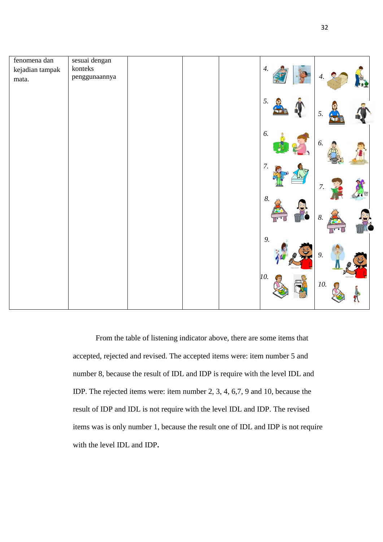

From the table of listening indicator above, there are some items that accepted, rejected and revised. The accepted items were: item number 5 and number 8, because the result of IDL and IDP is require with the level IDL and IDP. The rejected items were: item number 2, 3, 4, 6,7, 9 and 10, because the result of IDP and IDL is not require with the level IDL and IDP. The revised items was is only number 1, because the result one of IDL and IDP is not require with the level IDL and IDP**.**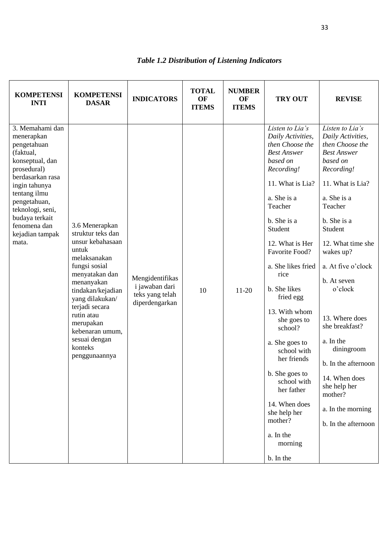| <b>KOMPETENSI</b><br><b>INTI</b>                                                                                                                                                                                                                   | <b>KOMPETENSI</b><br><b>DASAR</b>                                                                                                                                                                                                                                                      | <b>INDICATORS</b>                                                      | <b>TOTAL</b><br>OF<br><b>ITEMS</b> | <b>NUMBER</b><br>OF<br><b>ITEMS</b> | <b>TRY OUT</b>                                                                                                                                                                                                                                                                                                                                                                                                                                                                                             | <b>REVISE</b>                                                                                                                                                                                                                                                                                                                                                                                                                                   |
|----------------------------------------------------------------------------------------------------------------------------------------------------------------------------------------------------------------------------------------------------|----------------------------------------------------------------------------------------------------------------------------------------------------------------------------------------------------------------------------------------------------------------------------------------|------------------------------------------------------------------------|------------------------------------|-------------------------------------|------------------------------------------------------------------------------------------------------------------------------------------------------------------------------------------------------------------------------------------------------------------------------------------------------------------------------------------------------------------------------------------------------------------------------------------------------------------------------------------------------------|-------------------------------------------------------------------------------------------------------------------------------------------------------------------------------------------------------------------------------------------------------------------------------------------------------------------------------------------------------------------------------------------------------------------------------------------------|
| 3. Memahami dan<br>menerapkan<br>pengetahuan<br>(faktual,<br>konseptual, dan<br>prosedural)<br>berdasarkan rasa<br>ingin tahunya<br>tentang ilmu<br>pengetahuan,<br>teknologi, seni,<br>budaya terkait<br>fenomena dan<br>kejadian tampak<br>mata. | 3.6 Menerapkan<br>struktur teks dan<br>unsur kebahasaan<br>untuk<br>melaksanakan<br>fungsi sosial<br>menyatakan dan<br>menanyakan<br>tindakan/kejadian<br>yang dilakukan/<br>terjadi secara<br>rutin atau<br>merupakan<br>kebenaran umum,<br>sesuai dengan<br>konteks<br>penggunaannya | Mengidentifikas<br>i jawaban dari<br>teks yang telah<br>diperdengarkan | 10                                 | $11-20$                             | Listen to Lia's<br>Daily Activities,<br>then Choose the<br><b>Best Answer</b><br>based on<br>Recording!<br>11. What is Lia?<br>a. She is a<br>Teacher<br>b. She is a<br>Student<br>12. What is Her<br>Favorite Food?<br>a. She likes fried<br>rice<br>b. She likes<br>fried egg<br>13. With whom<br>she goes to<br>school?<br>a. She goes to<br>school with<br>her friends<br>b. She goes to<br>school with<br>her father<br>14. When does<br>she help her<br>mother?<br>a. In the<br>morning<br>b. In the | Listen to Lia's<br>Daily Activities,<br>then Choose the<br><b>Best Answer</b><br>based on<br>Recording!<br>11. What is Lia?<br>a. She is a<br>Teacher<br>b. She is a<br>Student<br>12. What time she<br>wakes up?<br>a. At five o'clock<br>b. At seven<br>o'clock<br>13. Where does<br>she breakfast?<br>a. In the<br>diningroom<br>b. In the afternoon<br>14. When does<br>she help her<br>mother?<br>a. In the morning<br>b. In the afternoon |

# *Table 1.2 Distribution of Listening Indicators*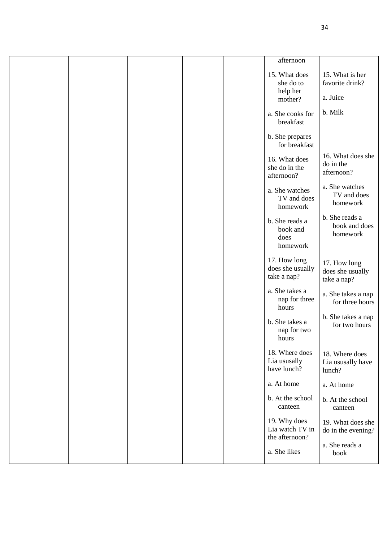|  |  | afternoon                                                         |                                                                   |
|--|--|-------------------------------------------------------------------|-------------------------------------------------------------------|
|  |  | 15. What does<br>she do to<br>help her<br>mother?                 | 15. What is her<br>favorite drink?<br>a. Juice                    |
|  |  | a. She cooks for<br>breakfast                                     | b. Milk                                                           |
|  |  | b. She prepares<br>for breakfast                                  |                                                                   |
|  |  | 16. What does<br>she do in the<br>afternoon?                      | 16. What does she<br>do in the<br>afternoon?                      |
|  |  | a. She watches<br>TV and does<br>homework                         | a. She watches<br>TV and does<br>homework                         |
|  |  | b. She reads a<br>book and<br>does<br>homework                    | b. She reads a<br>book and does<br>homework                       |
|  |  | 17. How long<br>does she usually<br>take a nap?                   | 17. How long<br>does she usually<br>take a nap?                   |
|  |  | a. She takes a<br>nap for three<br>hours                          | a. She takes a nap<br>for three hours                             |
|  |  | b. She takes a<br>nap for two<br>hours                            | b. She takes a nap<br>for two hours                               |
|  |  | 18. Where does<br>Lia ususally<br>have lunch?                     | 18. Where does<br>Lia ususally have<br>lunch?                     |
|  |  | a. At home                                                        | a. At home                                                        |
|  |  | b. At the school<br>canteen                                       | b. At the school<br>canteen                                       |
|  |  | 19. Why does<br>Lia watch TV in<br>the afternoon?<br>a. She likes | 19. What does she<br>do in the evening?<br>a. She reads a<br>book |
|  |  |                                                                   |                                                                   |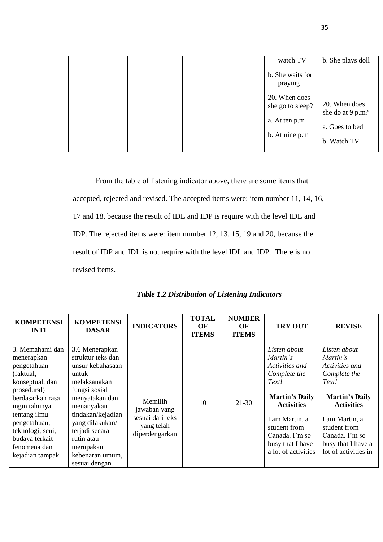|  |  | watch TV                                           | b. She plays doll                 |
|--|--|----------------------------------------------------|-----------------------------------|
|  |  | b. She waits for<br>praying                        |                                   |
|  |  | 20. When does<br>she go to sleep?<br>a. At ten p.m | 20. When does<br>she do at 9 p.m? |
|  |  |                                                    | a. Goes to bed                    |
|  |  | b. At nine p.m                                     | b. Watch TV                       |

From the table of listening indicator above, there are some items that accepted, rejected and revised. The accepted items were: item number 11, 14, 16, 17 and 18, because the result of IDL and IDP is require with the level IDL and IDP. The rejected items were: item number 12, 13, 15, 19 and 20, because the result of IDP and IDL is not require with the level IDL and IDP. There is no revised items.

| <b>KOMPETENSI</b><br><b>INTI</b>                                                                                                                                                                                                          | <b>KOMPETENSI</b><br><b>DASAR</b>                                                                                                                                                                                                                          | <b>INDICATORS</b>                                                           | <b>TOTAL</b><br>OF<br><b>ITEMS</b> | <b>NUMBER</b><br><b>OF</b><br><b>ITEMS</b> | <b>TRY OUT</b>                                                                                                                                                                                                   | <b>REVISE</b>                                                                                                                                                                                                       |
|-------------------------------------------------------------------------------------------------------------------------------------------------------------------------------------------------------------------------------------------|------------------------------------------------------------------------------------------------------------------------------------------------------------------------------------------------------------------------------------------------------------|-----------------------------------------------------------------------------|------------------------------------|--------------------------------------------|------------------------------------------------------------------------------------------------------------------------------------------------------------------------------------------------------------------|---------------------------------------------------------------------------------------------------------------------------------------------------------------------------------------------------------------------|
| 3. Memahami dan<br>menerapkan<br>pengetahuan<br>(faktual,<br>konseptual, dan<br>prosedural)<br>berdasarkan rasa<br>ingin tahunya<br>tentang ilmu<br>pengetahuan,<br>teknologi, seni,<br>budaya terkait<br>fenomena dan<br>kejadian tampak | 3.6 Menerapkan<br>struktur teks dan<br>unsur kebahasaan<br>untuk<br>melaksanakan<br>fungsi sosial<br>menyatakan dan<br>menanyakan<br>tindakan/kejadian<br>yang dilakukan/<br>terjadi secara<br>rutin atau<br>merupakan<br>kebenaran umum,<br>sesuai dengan | Memilih<br>jawaban yang<br>sesuai dari teks<br>yang telah<br>diperdengarkan | 10                                 | $21-30$                                    | Listen about<br>Martin's<br>Activities and<br>Complete the<br>Text!<br><b>Martin's Daily</b><br><b>Activities</b><br>I am Martin, a<br>student from<br>Canada. I'm so<br>busy that I have<br>a lot of activities | Listen about<br>Martin's<br>Activities and<br>Complete the<br>Text!<br><b>Martin's Daily</b><br><b>Activities</b><br>I am Martin, a<br>student from<br>Canada. I'm so<br>busy that I have a<br>lot of activities in |

# *Table 1.2 Distribution of Listening Indicators*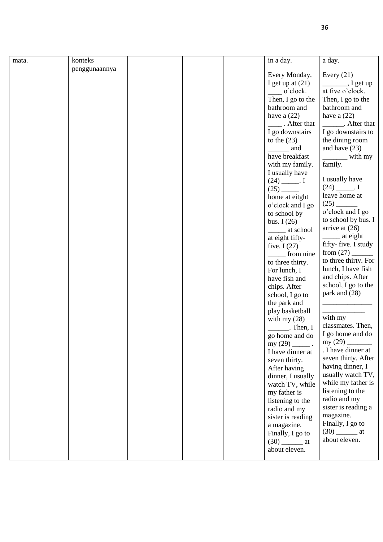| mata. | konteks       |  | in a day.              | a day.                                                                                                                                                                                                                                                                                                                                                                                                               |
|-------|---------------|--|------------------------|----------------------------------------------------------------------------------------------------------------------------------------------------------------------------------------------------------------------------------------------------------------------------------------------------------------------------------------------------------------------------------------------------------------------|
|       | penggunaannya |  |                        |                                                                                                                                                                                                                                                                                                                                                                                                                      |
|       |               |  | Every Monday,          | Every $(21)$                                                                                                                                                                                                                                                                                                                                                                                                         |
|       |               |  | I get up at $(21)$     | $\_$ , I get up                                                                                                                                                                                                                                                                                                                                                                                                      |
|       |               |  | o'clock.               | at five o'clock.                                                                                                                                                                                                                                                                                                                                                                                                     |
|       |               |  | Then, I go to the      | Then, I go to the                                                                                                                                                                                                                                                                                                                                                                                                    |
|       |               |  | bathroom and           | bathroom and                                                                                                                                                                                                                                                                                                                                                                                                         |
|       |               |  | have a $(22)$          | have a $(22)$                                                                                                                                                                                                                                                                                                                                                                                                        |
|       |               |  | . After that           | After that                                                                                                                                                                                                                                                                                                                                                                                                           |
|       |               |  | I go downstairs        | I go downstairs to                                                                                                                                                                                                                                                                                                                                                                                                   |
|       |               |  | to the $(23)$          | the dining room                                                                                                                                                                                                                                                                                                                                                                                                      |
|       |               |  | and                    | and have $(23)$                                                                                                                                                                                                                                                                                                                                                                                                      |
|       |               |  | have breakfast         | $\frac{1}{\sqrt{1-\frac{1}{2}}\sqrt{1-\frac{1}{2}}\sqrt{1-\frac{1}{2}}\sqrt{1-\frac{1}{2}}\sqrt{1-\frac{1}{2}}\sqrt{1-\frac{1}{2}}\sqrt{1-\frac{1}{2}}\sqrt{1-\frac{1}{2}}\sqrt{1-\frac{1}{2}}\sqrt{1-\frac{1}{2}}\sqrt{1-\frac{1}{2}}\sqrt{1-\frac{1}{2}}\sqrt{1-\frac{1}{2}}\sqrt{1-\frac{1}{2}}\sqrt{1-\frac{1}{2}}\sqrt{1-\frac{1}{2}}\sqrt{1-\frac{1}{2}}\sqrt{1-\frac{1}{2}}\sqrt{1-\frac{1}{2}}\sqrt{1-\frac$ |
|       |               |  | with my family.        | family.                                                                                                                                                                                                                                                                                                                                                                                                              |
|       |               |  | I usually have         |                                                                                                                                                                                                                                                                                                                                                                                                                      |
|       |               |  | $(24)$ ______. I       | I usually have                                                                                                                                                                                                                                                                                                                                                                                                       |
|       |               |  |                        | $(24)$ _______. I                                                                                                                                                                                                                                                                                                                                                                                                    |
|       |               |  | home at eitght         | leave home at                                                                                                                                                                                                                                                                                                                                                                                                        |
|       |               |  | o'clock and I go       | $(25)$ $-$                                                                                                                                                                                                                                                                                                                                                                                                           |
|       |               |  | to school by           | o'clock and I go                                                                                                                                                                                                                                                                                                                                                                                                     |
|       |               |  | bus. $I(26)$           | to school by bus. I                                                                                                                                                                                                                                                                                                                                                                                                  |
|       |               |  | ______ at school       | arrive at $(26)$                                                                                                                                                                                                                                                                                                                                                                                                     |
|       |               |  | at eight fifty-        | ________ at eight                                                                                                                                                                                                                                                                                                                                                                                                    |
|       |               |  | five. $I(27)$          | fifty-five. I study                                                                                                                                                                                                                                                                                                                                                                                                  |
|       |               |  | from nine              |                                                                                                                                                                                                                                                                                                                                                                                                                      |
|       |               |  | to three thirty.       | to three thirty. For                                                                                                                                                                                                                                                                                                                                                                                                 |
|       |               |  | For lunch, I           | lunch, I have fish                                                                                                                                                                                                                                                                                                                                                                                                   |
|       |               |  | have fish and          | and chips. After                                                                                                                                                                                                                                                                                                                                                                                                     |
|       |               |  | chips. After           | school, I go to the                                                                                                                                                                                                                                                                                                                                                                                                  |
|       |               |  | school, I go to        | park and (28)                                                                                                                                                                                                                                                                                                                                                                                                        |
|       |               |  | the park and           |                                                                                                                                                                                                                                                                                                                                                                                                                      |
|       |               |  | play basketball        |                                                                                                                                                                                                                                                                                                                                                                                                                      |
|       |               |  | with my $(28)$         | with my                                                                                                                                                                                                                                                                                                                                                                                                              |
|       |               |  | $\mathbf{I}$ . Then, I | classmates. Then,                                                                                                                                                                                                                                                                                                                                                                                                    |
|       |               |  | go home and do         | I go home and do                                                                                                                                                                                                                                                                                                                                                                                                     |
|       |               |  | my $(29)$ _______.     | my $(29)$ _<br>. I have dinner at                                                                                                                                                                                                                                                                                                                                                                                    |
|       |               |  | I have dinner at       | seven thirty. After                                                                                                                                                                                                                                                                                                                                                                                                  |
|       |               |  | seven thirty.          | having dinner, I                                                                                                                                                                                                                                                                                                                                                                                                     |
|       |               |  | After having           | usually watch TV,                                                                                                                                                                                                                                                                                                                                                                                                    |
|       |               |  | dinner, I usually      | while my father is                                                                                                                                                                                                                                                                                                                                                                                                   |
|       |               |  | watch TV, while        | listening to the                                                                                                                                                                                                                                                                                                                                                                                                     |
|       |               |  | my father is           | radio and my                                                                                                                                                                                                                                                                                                                                                                                                         |
|       |               |  | listening to the       | sister is reading a                                                                                                                                                                                                                                                                                                                                                                                                  |
|       |               |  | radio and my           | magazine.                                                                                                                                                                                                                                                                                                                                                                                                            |
|       |               |  | sister is reading      | Finally, I go to                                                                                                                                                                                                                                                                                                                                                                                                     |
|       |               |  | a magazine.            |                                                                                                                                                                                                                                                                                                                                                                                                                      |
|       |               |  | Finally, I go to       | about eleven.                                                                                                                                                                                                                                                                                                                                                                                                        |
|       |               |  | about eleven.          |                                                                                                                                                                                                                                                                                                                                                                                                                      |
|       |               |  |                        |                                                                                                                                                                                                                                                                                                                                                                                                                      |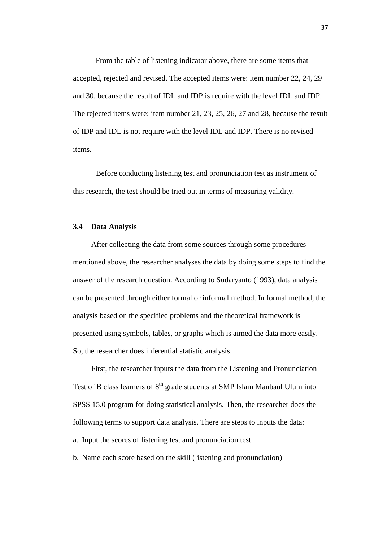From the table of listening indicator above, there are some items that accepted, rejected and revised. The accepted items were: item number 22, 24, 29 and 30, because the result of IDL and IDP is require with the level IDL and IDP. The rejected items were: item number 21, 23, 25, 26, 27 and 28, because the result of IDP and IDL is not require with the level IDL and IDP. There is no revised items.

Before conducting listening test and pronunciation test as instrument of this research, the test should be tried out in terms of measuring validity.

#### **3.4 Data Analysis**

After collecting the data from some sources through some procedures mentioned above, the researcher analyses the data by doing some steps to find the answer of the research question. According to Sudaryanto (1993), data analysis can be presented through either formal or informal method. In formal method, the analysis based on the specified problems and the theoretical framework is presented using symbols, tables, or graphs which is aimed the data more easily. So, the researcher does inferential statistic analysis.

First, the researcher inputs the data from the Listening and Pronunciation Test of B class learners of 8<sup>th</sup> grade students at SMP Islam Manbaul Ulum into SPSS 15.0 program for doing statistical analysis. Then, the researcher does the following terms to support data analysis. There are steps to inputs the data: a. Input the scores of listening test and pronunciation test

b. Name each score based on the skill (listening and pronunciation)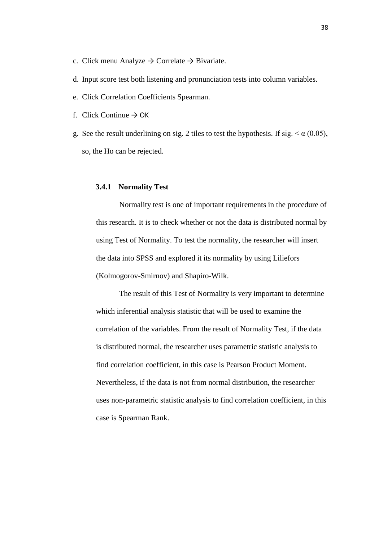- c. Click menu Analyze  $\rightarrow$  Correlate  $\rightarrow$  Bivariate.
- d. Input score test both listening and pronunciation tests into column variables.
- e. Click Correlation Coefficients Spearman.
- f. Click Continue  $\rightarrow$  OK
- g. See the result underlining on sig. 2 tiles to test the hypothesis. If sig.  $\leq \alpha$  (0.05), so, the Ho can be rejected.

### **3.4.1 Normality Test**

Normality test is one of important requirements in the procedure of this research. It is to check whether or not the data is distributed normal by using Test of Normality. To test the normality, the researcher will insert the data into SPSS and explored it its normality by using Liliefors (Kolmogorov-Smirnov) and Shapiro-Wilk.

The result of this Test of Normality is very important to determine which inferential analysis statistic that will be used to examine the correlation of the variables. From the result of Normality Test, if the data is distributed normal, the researcher uses parametric statistic analysis to find correlation coefficient, in this case is Pearson Product Moment. Nevertheless, if the data is not from normal distribution, the researcher uses non-parametric statistic analysis to find correlation coefficient, in this case is Spearman Rank.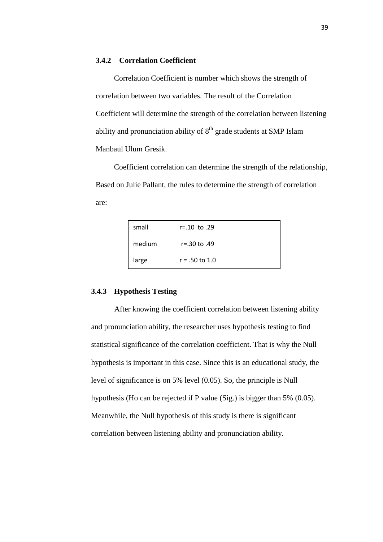## **3.4.2 Correlation Coefficient**

Correlation Coefficient is number which shows the strength of correlation between two variables. The result of the Correlation Coefficient will determine the strength of the correlation between listening ability and pronunciation ability of  $8<sup>th</sup>$  grade students at SMP Islam Manbaul Ulum Gresik.

Coefficient correlation can determine the strength of the relationship, Based on Julie Pallant, the rules to determine the strength of correlation are:

| small  | r=.10 to .29     |  |
|--------|------------------|--|
| medium | r=.30 to .49     |  |
| large  | $r = .50$ to 1.0 |  |

## **3.4.3 Hypothesis Testing**

After knowing the coefficient correlation between listening ability and pronunciation ability, the researcher uses hypothesis testing to find statistical significance of the correlation coefficient. That is why the Null hypothesis is important in this case. Since this is an educational study, the level of significance is on 5% level (0.05). So, the principle is Null hypothesis (Ho can be rejected if P value (Sig.) is bigger than 5% (0.05). Meanwhile, the Null hypothesis of this study is there is significant correlation between listening ability and pronunciation ability.